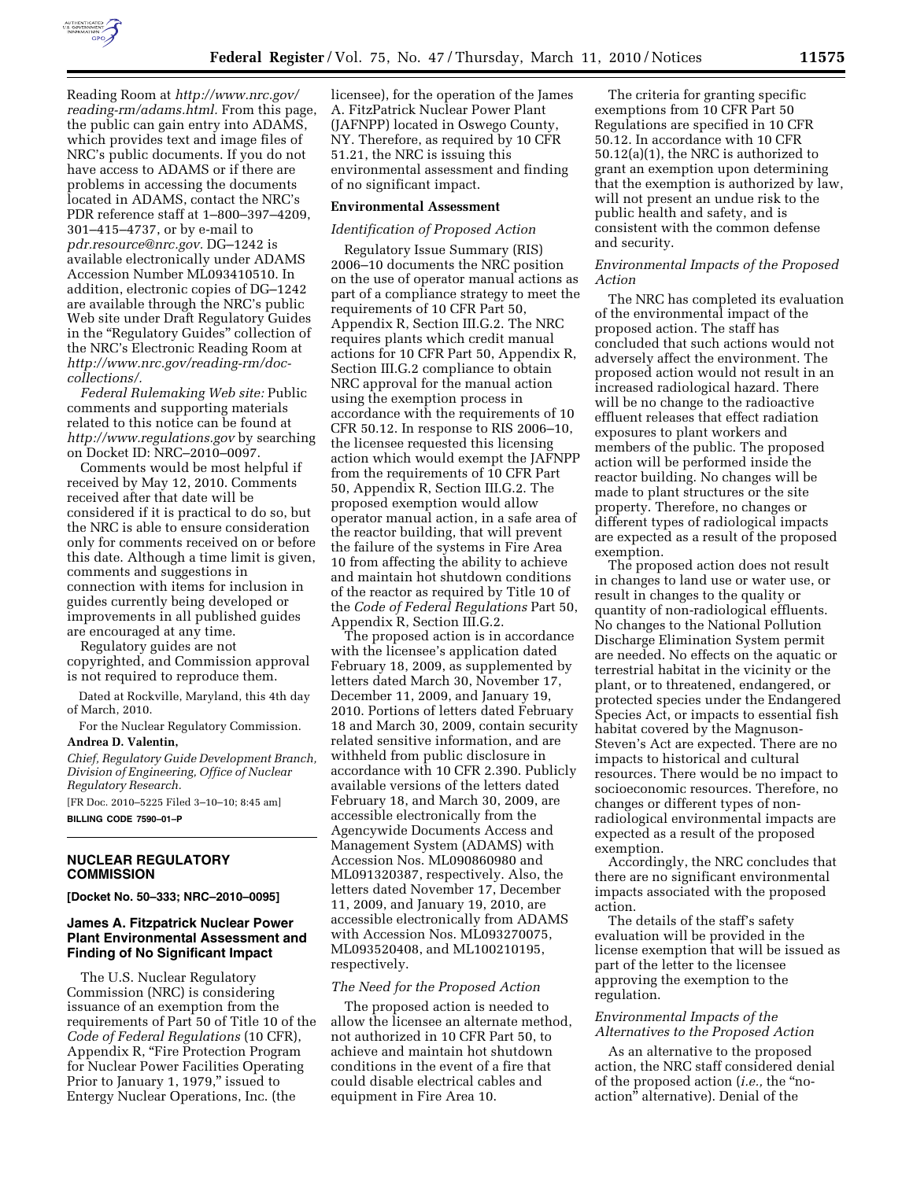

Reading Room at *http://www.nrc.gov/ reading-rm/adams.html.* From this page, the public can gain entry into ADAMS, which provides text and image files of NRC's public documents. If you do not have access to ADAMS or if there are problems in accessing the documents located in ADAMS, contact the NRC's PDR reference staff at 1–800–397–4209, 301–415–4737, or by e-mail to *pdr.resource@nrc.gov.* DG–1242 is available electronically under ADAMS Accession Number ML093410510. In addition, electronic copies of DG–1242 are available through the NRC's public Web site under Draft Regulatory Guides in the ''Regulatory Guides'' collection of the NRC's Electronic Reading Room at *http://www.nrc.gov/reading-rm/doccollections/.* 

*Federal Rulemaking Web site:* Public comments and supporting materials related to this notice can be found at *http://www.regulations.gov* by searching on Docket ID: NRC–2010–0097.

Comments would be most helpful if received by May 12, 2010. Comments received after that date will be considered if it is practical to do so, but the NRC is able to ensure consideration only for comments received on or before this date. Although a time limit is given, comments and suggestions in connection with items for inclusion in guides currently being developed or improvements in all published guides are encouraged at any time.

Regulatory guides are not copyrighted, and Commission approval is not required to reproduce them.

Dated at Rockville, Maryland, this 4th day of March, 2010.

For the Nuclear Regulatory Commission.

# **Andrea D. Valentin,**

*Chief, Regulatory Guide Development Branch, Division of Engineering, Office of Nuclear Regulatory Research.* 

[FR Doc. 2010–5225 Filed 3–10–10; 8:45 am]

**BILLING CODE 7590–01–P** 

## **NUCLEAR REGULATORY COMMISSION**

**[Docket No. 50–333; NRC–2010–0095]** 

## **James A. Fitzpatrick Nuclear Power Plant Environmental Assessment and Finding of No Significant Impact**

The U.S. Nuclear Regulatory Commission (NRC) is considering issuance of an exemption from the requirements of Part 50 of Title 10 of the *Code of Federal Regulations* (10 CFR), Appendix R, "Fire Protection Program for Nuclear Power Facilities Operating Prior to January 1, 1979," issued to Entergy Nuclear Operations, Inc. (the

licensee), for the operation of the James A. FitzPatrick Nuclear Power Plant (JAFNPP) located in Oswego County, NY. Therefore, as required by 10 CFR 51.21, the NRC is issuing this environmental assessment and finding of no significant impact.

#### **Environmental Assessment**

### *Identification of Proposed Action*

Regulatory Issue Summary (RIS) 2006–10 documents the NRC position on the use of operator manual actions as part of a compliance strategy to meet the requirements of 10 CFR Part 50, Appendix R, Section III.G.2. The NRC requires plants which credit manual actions for 10 CFR Part 50, Appendix R, Section III.G.2 compliance to obtain NRC approval for the manual action using the exemption process in accordance with the requirements of 10 CFR 50.12. In response to RIS 2006–10, the licensee requested this licensing action which would exempt the JAFNPP from the requirements of 10 CFR Part 50, Appendix R, Section III.G.2. The proposed exemption would allow operator manual action, in a safe area of the reactor building, that will prevent the failure of the systems in Fire Area 10 from affecting the ability to achieve and maintain hot shutdown conditions of the reactor as required by Title 10 of the *Code of Federal Regulations* Part 50, Appendix R, Section III.G.2.

The proposed action is in accordance with the licensee's application dated February 18, 2009, as supplemented by letters dated March 30, November 17, December 11, 2009, and January 19, 2010. Portions of letters dated February 18 and March 30, 2009, contain security related sensitive information, and are withheld from public disclosure in accordance with 10 CFR 2.390. Publicly available versions of the letters dated February 18, and March 30, 2009, are accessible electronically from the Agencywide Documents Access and Management System (ADAMS) with Accession Nos. ML090860980 and ML091320387, respectively. Also, the letters dated November 17, December 11, 2009, and January 19, 2010, are accessible electronically from ADAMS with Accession Nos. ML093270075, ML093520408, and ML100210195, respectively.

### *The Need for the Proposed Action*

The proposed action is needed to allow the licensee an alternate method, not authorized in 10 CFR Part 50, to achieve and maintain hot shutdown conditions in the event of a fire that could disable electrical cables and equipment in Fire Area 10.

The criteria for granting specific exemptions from 10 CFR Part 50 Regulations are specified in 10 CFR 50.12. In accordance with 10 CFR 50.12(a)(1), the NRC is authorized to grant an exemption upon determining that the exemption is authorized by law, will not present an undue risk to the public health and safety, and is consistent with the common defense and security.

### *Environmental Impacts of the Proposed Action*

The NRC has completed its evaluation of the environmental impact of the proposed action. The staff has concluded that such actions would not adversely affect the environment. The proposed action would not result in an increased radiological hazard. There will be no change to the radioactive effluent releases that effect radiation exposures to plant workers and members of the public. The proposed action will be performed inside the reactor building. No changes will be made to plant structures or the site property. Therefore, no changes or different types of radiological impacts are expected as a result of the proposed exemption.

The proposed action does not result in changes to land use or water use, or result in changes to the quality or quantity of non-radiological effluents. No changes to the National Pollution Discharge Elimination System permit are needed. No effects on the aquatic or terrestrial habitat in the vicinity or the plant, or to threatened, endangered, or protected species under the Endangered Species Act, or impacts to essential fish habitat covered by the Magnuson-Steven's Act are expected. There are no impacts to historical and cultural resources. There would be no impact to socioeconomic resources. Therefore, no changes or different types of nonradiological environmental impacts are expected as a result of the proposed exemption.

Accordingly, the NRC concludes that there are no significant environmental impacts associated with the proposed action.

The details of the staff's safety evaluation will be provided in the license exemption that will be issued as part of the letter to the licensee approving the exemption to the regulation.

### *Environmental Impacts of the Alternatives to the Proposed Action*

As an alternative to the proposed action, the NRC staff considered denial of the proposed action (*i.e.,* the ''noaction'' alternative). Denial of the